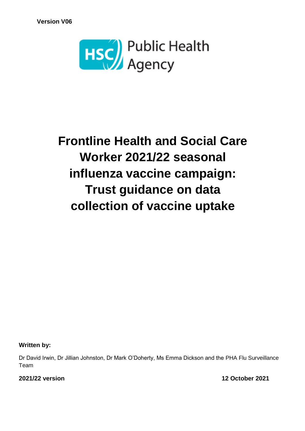

# **Frontline Health and Social Care Worker 2021/22 seasonal influenza vaccine campaign: Trust guidance on data collection of vaccine uptake**

**Written by:**

Dr David Irwin, Dr Jillian Johnston, Dr Mark O'Doherty, Ms Emma Dickson and the PHA Flu Surveillance Team

**2021/22 version 12 October 2021**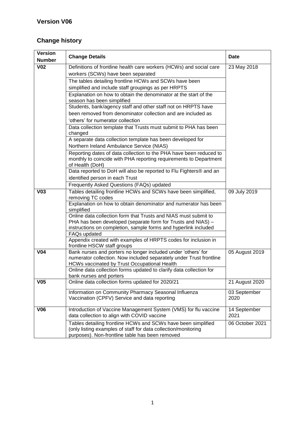# **Change history**

| <b>Version</b>  | <b>Change Details</b>                                                                                                                                      | <b>Date</b>     |
|-----------------|------------------------------------------------------------------------------------------------------------------------------------------------------------|-----------------|
| <b>Number</b>   |                                                                                                                                                            |                 |
| $\overline{V}$  | Definitions of frontline health care workers (HCWs) and social care                                                                                        | 23 May 2018     |
|                 | workers (SCWs) have been separated                                                                                                                         |                 |
|                 | The tables detailing frontline HCWs and SCWs have been                                                                                                     |                 |
|                 | simplified and include staff groupings as per HRPTS                                                                                                        |                 |
|                 | Explanation on how to obtain the denominator at the start of the<br>season has been simplified                                                             |                 |
|                 | Students, bank/agency staff and other staff not on HRPTS have                                                                                              |                 |
|                 | been removed from denominator collection and are included as                                                                                               |                 |
|                 | 'others' for numerator collection                                                                                                                          |                 |
|                 | Data collection template that Trusts must submit to PHA has been<br>changed                                                                                |                 |
|                 | A separate data collection template has been developed for                                                                                                 |                 |
|                 | Northern Ireland Ambulance Service (NIAS)                                                                                                                  |                 |
|                 | Reporting dates of data collection to the PHA have been reduced to<br>monthly to coincide with PHA reporting requirements to Department<br>of Health (DoH) |                 |
|                 | Data reported to DoH will also be reported to Flu Fighters® and an                                                                                         |                 |
|                 | identified person in each Trust                                                                                                                            |                 |
|                 | Frequently Asked Questions (FAQs) updated                                                                                                                  |                 |
| V <sub>03</sub> | Tables detailing frontline HCWs and SCWs have been simplified,<br>removing TC codes                                                                        | 09 July 2019    |
|                 | Explanation on how to obtain denominator and numerator has been<br>simplified                                                                              |                 |
|                 | Online data collection form that Trusts and NIAS must submit to                                                                                            |                 |
|                 | PHA has been developed (separate form for Trusts and NIAS) -                                                                                               |                 |
|                 | instructions on completion, sample forms and hyperlink included                                                                                            |                 |
|                 | FAQs updated<br>Appendix created with examples of HRPTS codes for inclusion in                                                                             |                 |
|                 | frontline HSCW staff groups                                                                                                                                |                 |
| <b>V04</b>      | Bank nurses and porters no longer included under 'others' for                                                                                              | 05 August 2019  |
|                 | numerator collection. Now included separately under Trust frontline                                                                                        |                 |
|                 | HCWs vaccinated by Trust Occupational Health                                                                                                               |                 |
|                 | Online data collection forms updated to clarify data collection for                                                                                        |                 |
| V <sub>05</sub> | bank nurses and porters                                                                                                                                    |                 |
|                 | Online data collection forms updated for 2020/21                                                                                                           | 21 August 2020  |
|                 | Information on Community Pharmacy Seasonal Influenza                                                                                                       | 03 September    |
|                 | Vaccination (CPFV) Service and data reporting                                                                                                              | 2020            |
| <b>V06</b>      | Introduction of Vaccine Management System (VMS) for flu vaccine                                                                                            | 14 September    |
|                 | data collection to align with COVID vaccine                                                                                                                | 2021            |
|                 | Tables detailing frontline HCWs and SCWs have been simplified                                                                                              | 06 October 2021 |
|                 | (only listing examples of staff for data collection/monitoring                                                                                             |                 |
|                 | purposes). Non-frontline table has been removed                                                                                                            |                 |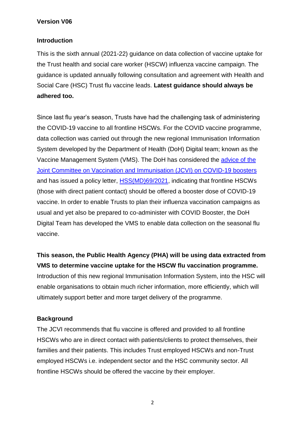#### **Introduction**

This is the sixth annual (2021-22) guidance on data collection of vaccine uptake for the Trust health and social care worker (HSCW) influenza vaccine campaign. The guidance is updated annually following consultation and agreement with Health and Social Care (HSC) Trust flu vaccine leads. **Latest guidance should always be adhered too.**

Since last flu year's season, Trusts have had the challenging task of administering the COVID-19 vaccine to all frontline HSCWs. For the COVID vaccine programme, data collection was carried out through the new regional Immunisation Information System developed by the Department of Health (DoH) Digital team; known as the Vaccine Management System (VMS). The DoH has considered the [advice of the](https://www.gov.uk/government/publications/jcvi-statement-september-2021-covid-19-booster-vaccine-programme-for-winter-2021-to-2022/jcvi-statement-regarding-a-covid-19-booster-vaccine-programme-for-winter-2021-to-2022)  [Joint Committee on Vaccination and Immunisation \(JCVI\) on COVID-19 boosters](https://www.gov.uk/government/publications/jcvi-statement-september-2021-covid-19-booster-vaccine-programme-for-winter-2021-to-2022/jcvi-statement-regarding-a-covid-19-booster-vaccine-programme-for-winter-2021-to-2022) and has issued a policy letter, [HSS\(MD\)69/2021,](https://www.health-ni.gov.uk/sites/default/files/publications/health/doh-hss-md-69-2021_0.pdf) indicating that frontline HSCWs (those with direct patient contact) should be offered a booster dose of COVID-19 vaccine. In order to enable Trusts to plan their influenza vaccination campaigns as usual and yet also be prepared to co-administer with COVID Booster, the DoH Digital Team has developed the VMS to enable data collection on the seasonal flu vaccine.

**This season, the Public Health Agency (PHA) will be using data extracted from VMS to determine vaccine uptake for the HSCW flu vaccination programme.** Introduction of this new regional Immunisation Information System, into the HSC will enable organisations to obtain much richer information, more efficiently, which will ultimately support better and more target delivery of the programme.

#### **Background**

The JCVI recommends that flu vaccine is offered and provided to all frontline HSCWs who are in direct contact with patients/clients to protect themselves, their families and their patients. This includes Trust employed HSCWs and non-Trust employed HSCWs i.e. independent sector and the HSC community sector. All frontline HSCWs should be offered the vaccine by their employer.

2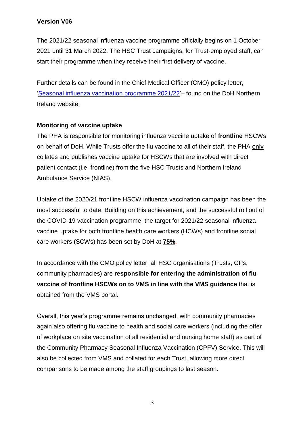The 2021/22 seasonal influenza vaccine programme officially begins on 1 October 2021 until 31 March 2022. The HSC Trust campaigns, for Trust-employed staff, can start their programme when they receive their first delivery of vaccine.

Further details can be found in the Chief Medical Officer (CMO) policy letter, ['Seasonal influenza vaccination programme 2021/22'](https://www.health-ni.gov.uk/publications/letters-and-urgent-communications-2021)– found on the DoH Northern Ireland website.

#### **Monitoring of vaccine uptake**

The PHA is responsible for monitoring influenza vaccine uptake of **frontline** HSCWs on behalf of DoH. While Trusts offer the flu vaccine to all of their staff, the PHA only collates and publishes vaccine uptake for HSCWs that are involved with direct patient contact (i.e. frontline) from the five HSC Trusts and Northern Ireland Ambulance Service (NIAS).

Uptake of the 2020/21 frontline HSCW influenza vaccination campaign has been the most successful to date. Building on this achievement, and the successful roll out of the COVID-19 vaccination programme, the target for 2021/22 seasonal influenza vaccine uptake for both frontline health care workers (HCWs) and frontline social care workers (SCWs) has been set by DoH at **75%**.

In accordance with the CMO policy letter, all HSC organisations (Trusts, GPs, community pharmacies) are **responsible for entering the administration of flu vaccine of frontline HSCWs on to VMS in line with the VMS guidance** that is obtained from the VMS portal.

Overall, this year's programme remains unchanged, with community pharmacies again also offering flu vaccine to health and social care workers (including the offer of workplace on site vaccination of all residential and nursing home staff) as part of the Community Pharmacy Seasonal Influenza Vaccination (CPFV) Service. This will also be collected from VMS and collated for each Trust, allowing more direct comparisons to be made among the staff groupings to last season.

3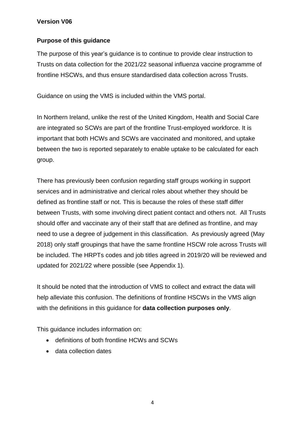#### **Purpose of this guidance**

The purpose of this year's guidance is to continue to provide clear instruction to Trusts on data collection for the 2021/22 seasonal influenza vaccine programme of frontline HSCWs, and thus ensure standardised data collection across Trusts.

Guidance on using the VMS is included within the VMS portal.

In Northern Ireland, unlike the rest of the United Kingdom, Health and Social Care are integrated so SCWs are part of the frontline Trust-employed workforce. It is important that both HCWs and SCWs are vaccinated and monitored, and uptake between the two is reported separately to enable uptake to be calculated for each group.

There has previously been confusion regarding staff groups working in support services and in administrative and clerical roles about whether they should be defined as frontline staff or not. This is because the roles of these staff differ between Trusts, with some involving direct patient contact and others not. All Trusts should offer and vaccinate any of their staff that are defined as frontline, and may need to use a degree of judgement in this classification. As previously agreed (May 2018) only staff groupings that have the same frontline HSCW role across Trusts will be included. The HRPTs codes and job titles agreed in 2019/20 will be reviewed and updated for 2021/22 where possible (see Appendix 1).

It should be noted that the introduction of VMS to collect and extract the data will help alleviate this confusion. The definitions of frontline HSCWs in the VMS align with the definitions in this guidance for **data collection purposes only**.

This guidance includes information on:

- definitions of both frontline HCWs and SCWs
- data collection dates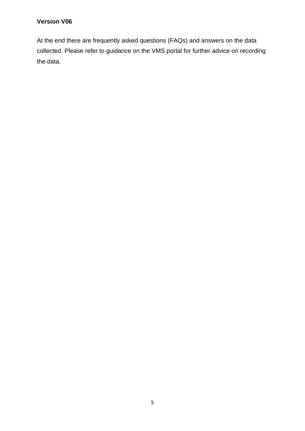At the end there are frequently asked questions (FAQs) and answers on the data collected. Please refer to guidance on the VMS portal for further advice on recording the data.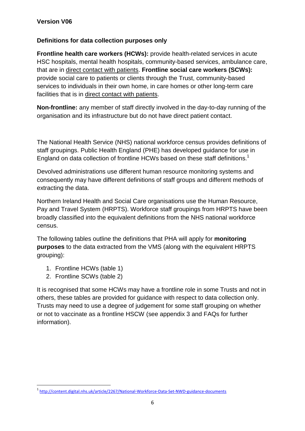#### **Definitions for data collection purposes only**

**Frontline health care workers (HCWs):** provide health-related services in acute HSC hospitals, mental health hospitals, community-based services, ambulance care, that are in direct contact with patients. **Frontline social care workers (SCWs):** provide social care to patients or clients through the Trust, community-based services to individuals in their own home, in care homes or other long-term care facilities that is in direct contact with patients.

**Non-frontline:** any member of staff directly involved in the day-to-day running of the organisation and its infrastructure but do not have direct patient contact.

The National Health Service (NHS) national workforce census provides definitions of staff groupings. Public Health England (PHE) has developed guidance for use in England on data collection of frontline HCWs based on these staff definitions.<sup>1</sup>

Devolved administrations use different human resource monitoring systems and consequently may have different definitions of staff groups and different methods of extracting the data.

Northern Ireland Health and Social Care organisations use the Human Resource, Pay and Travel System (HRPTS). Workforce staff groupings from HRPTS have been broadly classified into the equivalent definitions from the NHS national workforce census.

The following tables outline the definitions that PHA will apply for **monitoring purposes** to the data extracted from the VMS (along with the equivalent HRPTS grouping):

- 1. Frontline HCWs (table 1)
- 2. Frontline SCWs (table 2)

**.** 

It is recognised that some HCWs may have a frontline role in some Trusts and not in others, these tables are provided for guidance with respect to data collection only. Trusts may need to use a degree of judgement for some staff grouping on whether or not to vaccinate as a frontline HSCW (see appendix 3 and FAQs for further information).

<sup>1</sup> <http://content.digital.nhs.uk/article/2267/National-Workforce-Data-Set-NWD-guidance-documents>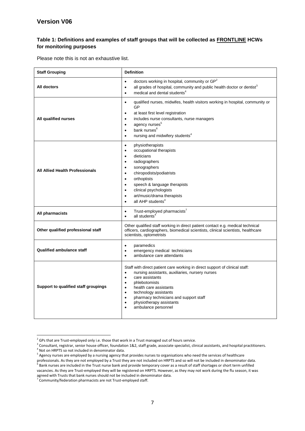#### **Table 1: Definitions and examples of staff groups that will be collected as FRONTLINE HCWs for monitoring purposes**

<span id="page-7-0"></span>Please note this is not an exhaustive list.

| <b>Staff Grouping</b>                  | <b>Definition</b>                                                                                                                                                                                                                                                                                                                                                                                                          |  |  |  |
|----------------------------------------|----------------------------------------------------------------------------------------------------------------------------------------------------------------------------------------------------------------------------------------------------------------------------------------------------------------------------------------------------------------------------------------------------------------------------|--|--|--|
| All doctors                            | doctors working in hospital, community or GP <sup>2</sup><br>$\bullet$<br>all grades of hospital, community and public health doctor or dentist <sup>3</sup><br>$\bullet$<br>medical and dental students <sup>4</sup><br>$\bullet$                                                                                                                                                                                         |  |  |  |
| All qualified nurses                   | qualified nurses, midwifes, health visitors working in hospital, community or<br>$\bullet$<br>GP<br>at least first level registration<br>$\bullet$<br>includes nurse consultants, nurse managers<br>$\bullet$<br>agency nurses <sup>5</sup><br>$\bullet$<br>bank nurses <sup>6</sup><br>$\bullet$<br>nursing and midwifery students <sup>4</sup><br>$\bullet$                                                              |  |  |  |
| <b>All Allied Health Professionals</b> | physiotherapists<br>$\bullet$<br>occupational therapists<br>$\bullet$<br>dieticians<br>$\bullet$<br>radiographers<br>$\bullet$<br>sonographers<br>$\bullet$<br>chiropodists/podiatrists<br>$\bullet$<br>orthoptists<br>$\bullet$<br>speech & language therapists<br>$\bullet$<br>clinical psychologists<br>$\bullet$<br>art/music/drama therapists<br>$\bullet$<br>all AHP students <sup>4</sup><br>$\bullet$              |  |  |  |
| All pharmacists                        | Trust-employed pharmacists <sup>7</sup><br>$\bullet$<br>all students <sup>4</sup><br>$\bullet$                                                                                                                                                                                                                                                                                                                             |  |  |  |
| Other qualified professional staff     | Other qualified staff working in direct patient contact e.g. medical technical<br>officers, cardiographers, biomedical scientists, clinical scientists, healthcare<br>scientists, optometrists                                                                                                                                                                                                                             |  |  |  |
| <b>Qualified ambulance staff</b>       | paramedics<br>$\bullet$<br>emergency medical technicians<br>$\bullet$<br>ambulance care attendants<br>$\bullet$                                                                                                                                                                                                                                                                                                            |  |  |  |
| Support to qualified staff groupings   | Staff with direct patient care working in direct support of clinical staff:<br>nursing assistants, auxiliaries, nursery nurses<br>$\bullet$<br>care assistants<br>$\bullet$<br>phlebotomists<br>$\bullet$<br>health care assistants<br>$\bullet$<br>technology assistants<br>$\bullet$<br>pharmacy technicians and support staff<br>$\bullet$<br>physiotherapy assistants<br>$\bullet$<br>ambulance personnel<br>$\bullet$ |  |  |  |

 2 GPs that are Trust-employed only i.e. those that work in a Trust managed out of hours service.

 $3$  Consultant, registrar, senior house officer, foundation 1&2, staff grade, associate specialist, clinical assistants, and hospital practitioners. <sup>4</sup> Not on HRPTS so not included in denominator data.

<sup>&</sup>lt;sup>5</sup> Agency nurses are employed by a nursing agency that provides nurses to organisations who need the services of healthcare professionals. As they are not employed by a Trust they are not included on HRPTS and so will not be included in denominator data.<br><sup>6</sup> Bank purses are included in the Trust purse hank and provide temperary sover as a resul Bank nurses are included in the Trust nurse bank and provide temporary cover as a result of staff shortages or short term unfilled vacancies. As they are Trust-employed they will be registered on HRPTS. However, as they may not work during the flu season, it was

agreed with Trusts that bank nurses should not be included in denominator data.<br><sup>7</sup> Community/federation pharmacists are not Trust-employed staff.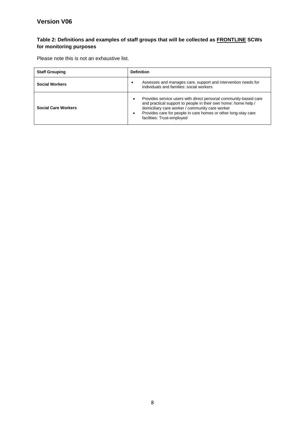#### **Table 2: Definitions and examples of staff groups that will be collected as FRONTLINE SCWs for monitoring purposes**

Please note this is not an exhaustive list.

| <b>Staff Grouping</b>      | <b>Definition</b>                                                                                                                                                                                                                                                                                               |  |  |
|----------------------------|-----------------------------------------------------------------------------------------------------------------------------------------------------------------------------------------------------------------------------------------------------------------------------------------------------------------|--|--|
| <b>Social Workers</b>      | Assesses and manages care, support and intervention needs for<br>individuals and families: social workers                                                                                                                                                                                                       |  |  |
| <b>Social Care Workers</b> | Provides service users with direct personal community-based care<br>$\bullet$<br>and practical support to people in their own home: home help /<br>domiciliary care worker / community care worker<br>Provides care for people in care homes or other long-stay care<br>$\bullet$<br>facilities: Trust-employed |  |  |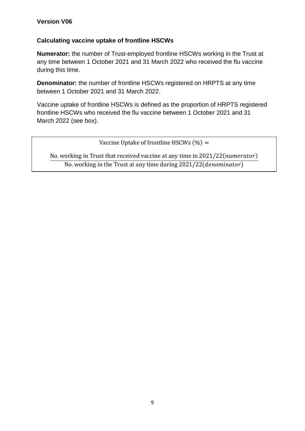## **Calculating vaccine uptake of frontline HSCWs**

**Numerator:** the number of Trust-employed frontline HSCWs working in the Trust at any time between 1 October 2021 and 31 March 2022 who received the flu vaccine during this time.

**Denominator:** the number of frontline HSCWs registered on HRPTS at any time between 1 October 2021 and 31 March 2022.

Vaccine uptake of frontline HSCWs is defined as the proportion of HRPTS registered frontline HSCWs who received the flu vaccine between 1 October 2021 and 31 March 2022 (see box).

Vaccine Uptake of frontline HSCWs  $(\%) =$ 

No. working in Trust that received vaccine at any time in 2021/22(numerator) No. working in the Trust at any time during 2021/22(*denominator*)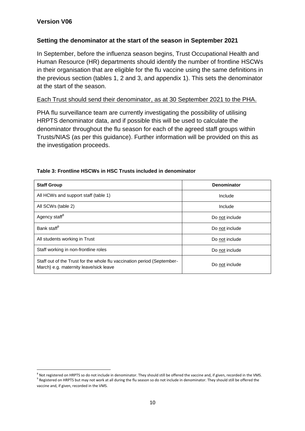#### **Setting the denominator at the start of the season in September 2021**

In September, before the influenza season begins, Trust Occupational Health and Human Resource (HR) departments should identify the number of frontline HSCWs in their organisation that are eligible for the flu vaccine using the same definitions in the previous section (tables 1, 2 and 3, and appendix 1). This sets the denominator at the start of the season.

#### Each Trust should send their denominator, as at 30 September 2021 to the PHA.

PHA flu surveillance team are currently investigating the possibility of utilising HRPTS denominator data, and if possible this will be used to calculate the denominator throughout the flu season for each of the agreed staff groups within Trusts/NIAS (as per this guidance). Further information will be provided on this as the investigation proceeds.

| <b>Staff Group</b>                                                                                                | Denominator    |
|-------------------------------------------------------------------------------------------------------------------|----------------|
| All HCWs and support staff (table 1)                                                                              | Include        |
| All SCWs (table 2)                                                                                                | Include        |
| Agency staff <sup>8</sup>                                                                                         | Do not include |
| Bank staff <sup>9</sup>                                                                                           | Do not include |
| All students working in Trust                                                                                     | Do not include |
| Staff working in non-frontline roles                                                                              | Do not include |
| Staff out of the Trust for the whole flu vaccination period (September-<br>March) e.g. maternity leave/sick leave | Do not include |

#### **Table 3: Frontline HSCWs in HSC Trusts included in denominator**

**<sup>.</sup>**  $^8$  Not registered on HRPTS so do not include in denominator. They should still be offered the vaccine and, if given, recorded in the VMS.

<sup>&</sup>lt;sup>9</sup> Registered on HRPTS but may not work at all during the flu season so do not include in denominator. They should still be offered the vaccine and, if given, recorded in the VMS.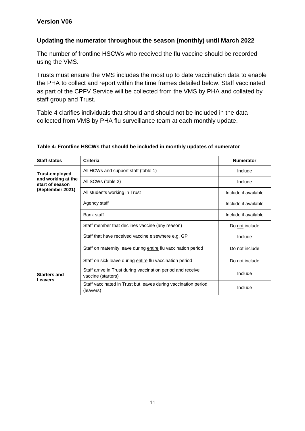#### **Updating the numerator throughout the season (monthly) until March 2022**

The number of frontline HSCWs who received the flu vaccine should be recorded using the VMS.

Trusts must ensure the VMS includes the most up to date vaccination data to enable the PHA to collect and report within the time frames detailed below. Staff vaccinated as part of the CPFV Service will be collected from the VMS by PHA and collated by staff group and Trust.

Table 4 clarifies individuals that should and should not be included in the data collected from VMS by PHA flu surveillance team at each monthly update.

| <b>Staff status</b>                   | <b>Criteria</b>                                                                   | <b>Numerator</b>     |
|---------------------------------------|-----------------------------------------------------------------------------------|----------------------|
| <b>Trust-employed</b>                 | All HCWs and support staff (table 1)                                              | Include              |
| and working at the<br>start of season | All SCWs (table 2)                                                                | Include              |
| (September 2021)                      | All students working in Trust                                                     | Include if available |
|                                       | Agency staff                                                                      | Include if available |
|                                       | Bank staff                                                                        | Include if available |
|                                       | Staff member that declines vaccine (any reason)                                   | Do not include       |
|                                       | Staff that have received vaccine elsewhere e.g. GP                                | Include              |
|                                       | Staff on maternity leave during entire flu vaccination period                     | Do not include       |
|                                       | Staff on sick leave during entire flu vaccination period                          | Do not include       |
| <b>Starters and</b><br>Leavers        | Staff arrive in Trust during vaccination period and receive<br>vaccine (starters) | Include              |
|                                       | Staff vaccinated in Trust but leaves during vaccination period<br>(leavers)       | Include              |

#### **Table 4: Frontline HSCWs that should be included in monthly updates of numerator**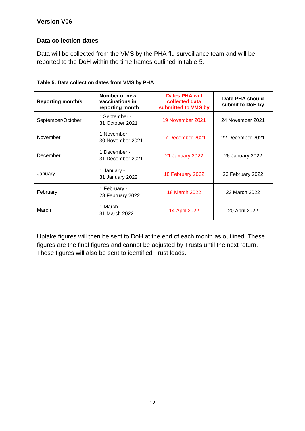#### **Data collection dates**

Data will be collected from the VMS by the PHA flu surveillance team and will be reported to the DoH within the time frames outlined in table 5.

| <b>Reporting month/s</b> | Number of new<br>vaccinations in<br>reporting month | Dates PHA will<br>collected data<br>submitted to VMS by | Date PHA should<br>submit to DoH by |
|--------------------------|-----------------------------------------------------|---------------------------------------------------------|-------------------------------------|
| September/October        | 1 September -<br>31 October 2021                    | 19 November 2021                                        | 24 November 2021                    |
| November                 | 1 November -<br>30 November 2021                    | 17 December 2021                                        | 22 December 2021                    |
| December                 | 1 December -<br>31 December 2021                    | <b>21 January 2022</b>                                  | 26 January 2022                     |
| January                  | 1 January -<br>31 January 2022                      | 18 February 2022                                        | 23 February 2022                    |
| February                 | 1 February -<br>28 February 2022                    | <b>18 March 2022</b>                                    | 23 March 2022                       |
| March                    | 1 March -<br>31 March 2022                          | 14 April 2022                                           | 20 April 2022                       |

Uptake figures will then be sent to DoH at the end of each month as outlined. These figures are the final figures and cannot be adjusted by Trusts until the next return. These figures will also be sent to identified Trust leads.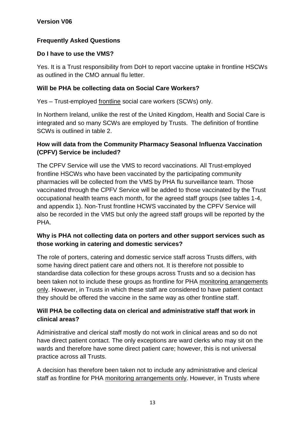# **Frequently Asked Questions**

## **Do I have to use the VMS?**

Yes. It is a Trust responsibility from DoH to report vaccine uptake in frontline HSCWs as outlined in the CMO annual flu letter.

## **Will be PHA be collecting data on Social Care Workers?**

Yes – Trust-employed frontline social care workers (SCWs) only.

In Northern Ireland, unlike the rest of the United Kingdom, Health and Social Care is integrated and so many SCWs are employed by Trusts. The definition of frontline SCWs is outlined in table 2.

## **How will data from the Community Pharmacy Seasonal Influenza Vaccination (CPFV) Service be included?**

The CPFV Service will use the VMS to record vaccinations. All Trust-employed frontline HSCWs who have been vaccinated by the participating community pharmacies will be collected from the VMS by PHA flu surveillance team. Those vaccinated through the CPFV Service will be added to those vaccinated by the Trust occupational health teams each month, for the agreed staff groups (see tables 1-4, and appendix 1). Non-Trust frontline HCWS vaccinated by the CPFV Service will also be recorded in the VMS but only the agreed staff groups will be reported by the PHA.

## **Why is PHA not collecting data on porters and other support services such as those working in catering and domestic services?**

The role of porters, catering and domestic service staff across Trusts differs, with some having direct patient care and others not. It is therefore not possible to standardise data collection for these groups across Trusts and so a decision has been taken not to include these groups as frontline for PHA monitoring arrangements only. However, in Trusts in which these staff are considered to have patient contact they should be offered the vaccine in the same way as other frontline staff.

## **Will PHA be collecting data on clerical and administrative staff that work in clinical areas?**

Administrative and clerical staff mostly do not work in clinical areas and so do not have direct patient contact. The only exceptions are ward clerks who may sit on the wards and therefore have some direct patient care; however, this is not universal practice across all Trusts.

A decision has therefore been taken not to include any administrative and clerical staff as frontline for PHA monitoring arrangements only. However, in Trusts where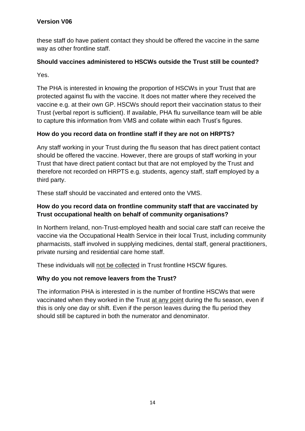these staff do have patient contact they should be offered the vaccine in the same way as other frontline staff.

## **Should vaccines administered to HSCWs outside the Trust still be counted?**

Yes.

The PHA is interested in knowing the proportion of HSCWs in your Trust that are protected against flu with the vaccine. It does not matter where they received the vaccine e.g. at their own GP. HSCWs should report their vaccination status to their Trust (verbal report is sufficient). If available, PHA flu surveillance team will be able to capture this information from VMS and collate within each Trust's figures.

## **How do you record data on frontline staff if they are not on HRPTS?**

Any staff working in your Trust during the flu season that has direct patient contact should be offered the vaccine. However, there are groups of staff working in your Trust that have direct patient contact but that are not employed by the Trust and therefore not recorded on HRPTS e.g. students, agency staff, staff employed by a third party.

These staff should be vaccinated and entered onto the VMS.

## **How do you record data on frontline community staff that are vaccinated by Trust occupational health on behalf of community organisations?**

In Northern Ireland, non-Trust-employed health and social care staff can receive the vaccine via the Occupational Health Service in their local Trust, including community pharmacists, staff involved in supplying medicines, dental staff, general practitioners, private nursing and residential care home staff.

These individuals will not be collected in Trust frontline HSCW figures.

#### **Why do you not remove leavers from the Trust?**

The information PHA is interested in is the number of frontline HSCWs that were vaccinated when they worked in the Trust at any point during the flu season, even if this is only one day or shift. Even if the person leaves during the flu period they should still be captured in both the numerator and denominator.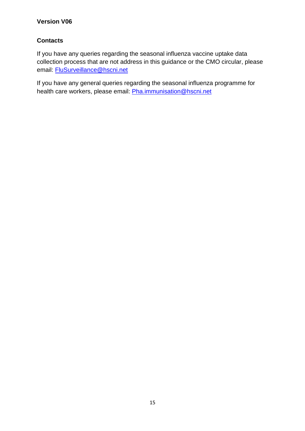## **Contacts**

If you have any queries regarding the seasonal influenza vaccine uptake data collection process that are not address in this guidance or the CMO circular, please email: [FluSurveillance@hscni.net](mailto:FluSurveillance@hscni.net)

If you have any general queries regarding the seasonal influenza programme for health care workers, please email: [Pha.immunisation@hscni.net](mailto:Pha.immunisation@hscni.net)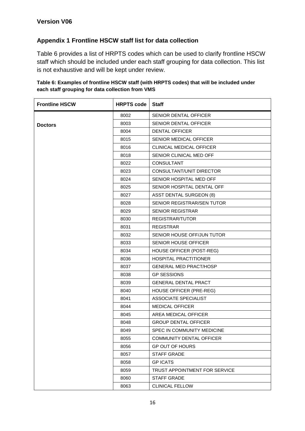## **Appendix 1 Frontline HSCW staff list for data collection**

Table 6 provides a list of HRPTS codes which can be used to clarify frontline HSCW staff which should be included under each staff grouping for data collection. This list is not exhaustive and will be kept under review.

| <b>Frontline HSCW</b> | <b>HRPTS code</b> | <b>Staff</b>                      |
|-----------------------|-------------------|-----------------------------------|
|                       | 8002              | <b>SENIOR DENTAL OFFICER</b>      |
| <b>Doctors</b>        | 8003              | <b>SENIOR DENTAL OFFICER</b>      |
|                       | 8004              | <b>DENTAL OFFICER</b>             |
|                       | 8015              | SENIOR MEDICAL OFFICER            |
|                       | 8016              | <b>CLINICAL MEDICAL OFFICER</b>   |
|                       | 8018              | SENIOR CLINICAL MED OFF           |
|                       | 8022              | <b>CONSULTANT</b>                 |
|                       | 8023              | CONSULTANT/UNIT DIRECTOR          |
|                       | 8024              | SENIOR HOSPITAL MED OFF           |
|                       | 8025              | SENIOR HOSPITAL DENTAL OFF        |
|                       | 8027              | <b>ASST DENTAL SURGEON (8)</b>    |
|                       | 8028              | <b>SENIOR REGISTRAR/SEN TUTOR</b> |
|                       | 8029              | <b>SENIOR REGISTRAR</b>           |
|                       | 8030              | <b>REGISTRAR/TUTOR</b>            |
|                       | 8031              | <b>REGISTRAR</b>                  |
|                       | 8032              | SENIOR HOUSE OFF/JUN TUTOR        |
|                       | 8033              | <b>SENIOR HOUSE OFFICER</b>       |
|                       | 8034              | HOUSE OFFICER (POST-REG)          |
|                       | 8036              | <b>HOSPITAL PRACTITIONER</b>      |
|                       | 8037              | <b>GENERAL MED PRACT/HOSP</b>     |
|                       | 8038              | <b>GP SESSIONS</b>                |
|                       | 8039              | <b>GENERAL DENTAL PRACT</b>       |
|                       | 8040              | HOUSE OFFICER (PRE-REG)           |
|                       | 8041              | <b>ASSOCIATE SPECIALIST</b>       |
|                       | 8044              | <b>MEDICAL OFFICER</b>            |
|                       | 8045              | AREA MEDICAL OFFICER              |
|                       | 8048              | <b>GROUP DENTAL OFFICER</b>       |
|                       | 8049              | SPEC IN COMMUNITY MEDICINE        |
|                       | 8055              | COMMUNITY DENTAL OFFICER          |
|                       | 8056              | <b>GP OUT OF HOURS</b>            |
|                       | 8057              | <b>STAFF GRADE</b>                |
|                       | 8058              | <b>GP ICATS</b>                   |
|                       | 8059              | TRUST APPOINTMENT FOR SERVICE     |
|                       | 8060              | <b>STAFF GRADE</b>                |
|                       | 8063              | <b>CLINICAL FELLOW</b>            |

#### **Table 6: Examples of frontline HSCW staff (with HRPTS codes) that will be included under each staff grouping for data collection from VMS**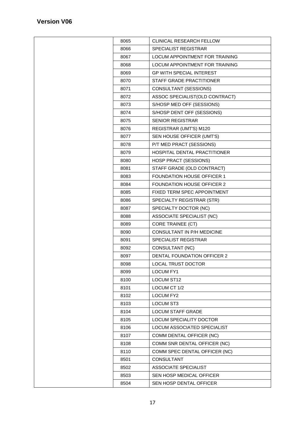| 8065 | <b>CLINICAL RESEARCH FELLOW</b>       |  |  |
|------|---------------------------------------|--|--|
| 8066 | SPECIALIST REGISTRAR                  |  |  |
| 8067 | <b>LOCUM APPOINTMENT FOR TRAINING</b> |  |  |
| 8068 | LOCUM APPOINTMENT FOR TRAINING        |  |  |
| 8069 | <b>GP WITH SPECIAL INTEREST</b>       |  |  |
| 8070 | STAFF GRADE PRACTITIONER              |  |  |
| 8071 | CONSULTANT (SESSIONS)                 |  |  |
| 8072 | ASSOC SPECIALIST(OLD CONTRACT)        |  |  |
| 8073 | S/HOSP MED OFF (SESSIONS)             |  |  |
| 8074 | S/HOSP DENT OFF (SESSIONS)            |  |  |
| 8075 | <b>SENIOR REGISTRAR</b>               |  |  |
| 8076 | REGISTRAR (UMT'S) M120                |  |  |
| 8077 | SEN HOUSE OFFICER (UMT'S)             |  |  |
| 8078 | P/T MED PRACT (SESSIONS)              |  |  |
| 8079 | HOSPITAL DENTAL PRACTITIONER          |  |  |
| 8080 | <b>HOSP PRACT (SESSIONS)</b>          |  |  |
| 8081 | STAFF GRADE (OLD CONTRACT)            |  |  |
| 8083 | FOUNDATION HOUSE OFFICER 1            |  |  |
| 8084 | <b>FOUNDATION HOUSE OFFICER 2</b>     |  |  |
| 8085 | FIXED TERM SPEC APPOINTMENT           |  |  |
| 8086 | SPECIALTY REGISTRAR (STR)             |  |  |
| 8087 | SPECIALTY DOCTOR (NC)                 |  |  |
| 8088 | ASSOCIATE SPECIALIST (NC)             |  |  |
| 8089 | <b>CORE TRAINEE (CT)</b>              |  |  |
| 8090 | CONSULTANT IN P/H MEDICINE            |  |  |
| 8091 | SPECIALIST REGISTRAR                  |  |  |
| 8092 | CONSULTANT (NC)                       |  |  |
| 8097 | <b>DENTAL FOUNDATION OFFICER 2</b>    |  |  |
| 8098 | <b>LOCAL TRUST DOCTOR</b>             |  |  |
| 8099 | LOCUM FY1                             |  |  |
| 8100 | <b>LOCUM ST12</b>                     |  |  |
| 8101 | LOCUM CT 1/2                          |  |  |
| 8102 | <b>LOCUM FY2</b>                      |  |  |
| 8103 | <b>LOCUM ST3</b>                      |  |  |
| 8104 | <b>LOCUM STAFF GRADE</b>              |  |  |
| 8105 | LOCUM SPECIALITY DOCTOR               |  |  |
| 8106 | LOCUM ASSOCIATED SPECIALIST           |  |  |
| 8107 | COMM DENTAL OFFICER (NC)              |  |  |
| 8108 | COMM SNR DENTAL OFFICER (NC)          |  |  |
| 8110 | COMM SPEC DENTAL OFFICER (NC)         |  |  |
| 8501 | <b>CONSULTANT</b>                     |  |  |
| 8502 | <b>ASSOCIATE SPECIALIST</b>           |  |  |
| 8503 | SEN HOSP MEDICAL OFFICER              |  |  |
| 8504 | SEN HOSP DENTAL OFFICER               |  |  |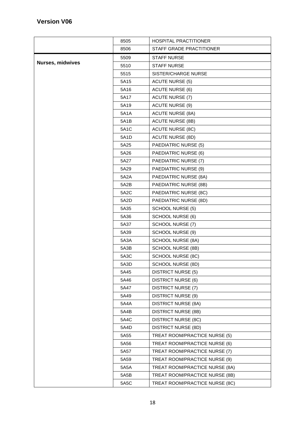|                         | 8505 | HOSPITAL PRACTITIONER          |
|-------------------------|------|--------------------------------|
|                         | 8506 | STAFF GRADE PRACTITIONER       |
|                         | 5509 | <b>STAFF NURSE</b>             |
| <b>Nurses, midwives</b> | 5510 | <b>STAFF NURSE</b>             |
|                         | 5515 | SISTER/CHARGE NURSE            |
|                         | 5A15 | <b>ACUTE NURSE (5)</b>         |
|                         | 5A16 | <b>ACUTE NURSE (6)</b>         |
|                         | 5A17 | <b>ACUTE NURSE (7)</b>         |
|                         | 5A19 | <b>ACUTE NURSE (9)</b>         |
|                         | 5A1A | <b>ACUTE NURSE (8A)</b>        |
|                         | 5A1B | <b>ACUTE NURSE (8B)</b>        |
|                         | 5A1C | <b>ACUTE NURSE (8C)</b>        |
|                         | 5A1D | <b>ACUTE NURSE (8D)</b>        |
|                         | 5A25 | <b>PAEDIATRIC NURSE (5)</b>    |
|                         | 5A26 | PAEDIATRIC NURSE (6)           |
|                         | 5A27 | PAEDIATRIC NURSE (7)           |
|                         | 5A29 | PAEDIATRIC NURSE (9)           |
|                         | 5A2A | PAEDIATRIC NURSE (8A)          |
|                         | 5A2B | PAEDIATRIC NURSE (8B)          |
|                         | 5A2C | PAEDIATRIC NURSE (8C)          |
|                         | 5A2D | PAEDIATRIC NURSE (8D)          |
|                         | 5A35 | <b>SCHOOL NURSE (5)</b>        |
|                         | 5A36 | <b>SCHOOL NURSE (6)</b>        |
|                         | 5A37 | SCHOOL NURSE (7)               |
|                         | 5A39 | <b>SCHOOL NURSE (9)</b>        |
|                         | 5A3A | SCHOOL NURSE (8A)              |
|                         | 5A3B | SCHOOL NURSE (8B)              |
|                         | 5A3C | SCHOOL NURSE (8C)              |
|                         | 5A3D | <b>SCHOOL NURSE (8D)</b>       |
|                         | 5A45 | <b>DISTRICT NURSE (5)</b>      |
|                         | 5A46 | <b>DISTRICT NURSE (6)</b>      |
|                         | 5A47 | <b>DISTRICT NURSE (7)</b>      |
|                         | 5A49 | <b>DISTRICT NURSE (9)</b>      |
|                         | 5A4A | <b>DISTRICT NURSE (8A)</b>     |
|                         | 5A4B | <b>DISTRICT NURSE (8B)</b>     |
|                         | 5A4C | <b>DISTRICT NURSE (8C)</b>     |
|                         | 5A4D | <b>DISTRICT NURSE (8D)</b>     |
|                         | 5A55 | TREAT ROOM/PRACTICE NURSE (5)  |
|                         | 5A56 | TREAT ROOM/PRACTICE NURSE (6)  |
|                         | 5A57 | TREAT ROOM/PRACTICE NURSE (7)  |
|                         | 5A59 | TREAT ROOM/PRACTICE NURSE (9)  |
|                         | 5A5A | TREAT ROOM/PRACTICE NURSE (8A) |
|                         | 5A5B | TREAT ROOM/PRACTICE NURSE (8B) |
|                         | 5A5C | TREAT ROOM/PRACTICE NURSE (8C) |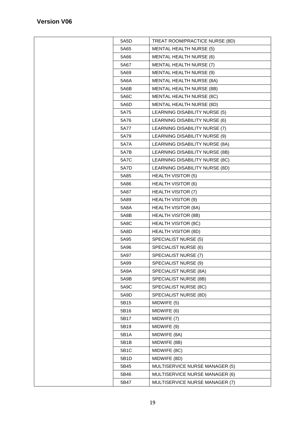| 5A5D        | TREAT ROOM/PRACTICE NURSE (8D)  |
|-------------|---------------------------------|
| 5A65        | <b>MENTAL HEALTH NURSE (5)</b>  |
| 5A66        | <b>MENTAL HEALTH NURSE (6)</b>  |
| 5A67        | MENTAL HEALTH NURSE (7)         |
| 5A69        | <b>MENTAL HEALTH NURSE (9)</b>  |
| 5A6A        | <b>MENTAL HEALTH NURSE (8A)</b> |
| 5A6B        | MENTAL HEALTH NURSE (8B)        |
| 5A6C        | <b>MENTAL HEALTH NURSE (8C)</b> |
| 5A6D        | MENTAL HEALTH NURSE (8D)        |
| 5A75        | LEARNING DISABILITY NURSE (5)   |
| 5A76        | LEARNING DISABILITY NURSE (6)   |
| 5A77        | LEARNING DISABILITY NURSE (7)   |
| 5A79        | LEARNING DISABILITY NURSE (9)   |
| <b>5A7A</b> | LEARNING DISABILITY NURSE (8A)  |
| 5A7B        | LEARNING DISABILITY NURSE (8B)  |
| <b>5A7C</b> | LEARNING DISABILITY NURSE (8C)  |
| 5A7D        | LEARNING DISABILITY NURSE (8D)  |
| 5A85        | <b>HEALTH VISITOR (5)</b>       |
| 5A86        | <b>HEALTH VISITOR (6)</b>       |
| 5A87        | <b>HEALTH VISITOR (7)</b>       |
| 5A89        | <b>HEALTH VISITOR (9)</b>       |
| 5A8A        | <b>HEALTH VISITOR (8A)</b>      |
| 5A8B        | <b>HEALTH VISITOR (8B)</b>      |
| 5A8C        | <b>HEALTH VISITOR (8C)</b>      |
| 5A8D        | <b>HEALTH VISITOR (8D)</b>      |
| 5A95        | SPECIALIST NURSE (5)            |
| 5A96        | SPECIALIST NURSE (6)            |
| 5A97        | SPECIALIST NURSE (7)            |
| 5A99        | SPECIALIST NURSE (9)            |
| 5A9A        | SPECIALIST NURSE (8A)           |
| 5A9B        | SPECIALIST NURSE (8B)           |
| 5A9C        | SPECIALIST NURSE (8C)           |
| 5A9D        | SPECIALIST NURSE (8D)           |
| 5B15        | MIDWIFE (5)                     |
| 5B16        | MIDWIFE (6)                     |
| 5B17        | MIDWIFE (7)                     |
| 5B19        | MIDWIFE (9)                     |
| 5B1A        | MIDWIFE (8A)                    |
| 5B1B        | MIDWIFE (8B)                    |
| 5B1C        | MIDWIFE (8C)                    |
| 5B1D        | MIDWIFE (8D)                    |
| 5B45        | MULTISERVICE NURSE MANAGER (5)  |
| 5B46        | MULTISERVICE NURSE MANAGER (6)  |
| 5B47        | MULTISERVICE NURSE MANAGER (7)  |
|             |                                 |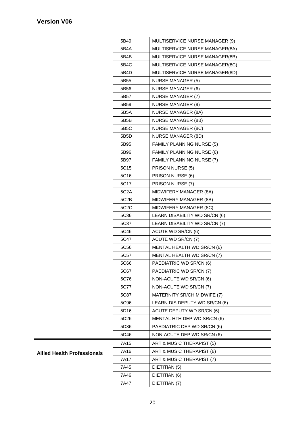|                                    | 5B49              | MULTISERVICE NURSE MANAGER (9)   |
|------------------------------------|-------------------|----------------------------------|
|                                    | 5B4A              | MULTISERVICE NURSE MANAGER(8A)   |
|                                    | 5B4B              | MULTISERVICE NURSE MANAGER(8B)   |
|                                    | 5B4C              | MULTISERVICE NURSE MANAGER(8C)   |
|                                    | 5B4D              | MULTISERVICE NURSE MANAGER(8D)   |
|                                    | 5B55              | <b>NURSE MANAGER (5)</b>         |
|                                    | 5B56              | <b>NURSE MANAGER (6)</b>         |
|                                    | 5B57              | <b>NURSE MANAGER (7)</b>         |
|                                    | 5B59              | <b>NURSE MANAGER (9)</b>         |
|                                    | 5B5A              | <b>NURSE MANAGER (8A)</b>        |
|                                    | 5B5B              | <b>NURSE MANAGER (8B)</b>        |
|                                    | 5B5C              | <b>NURSE MANAGER (8C)</b>        |
|                                    | 5B5D              | <b>NURSE MANAGER (8D)</b>        |
|                                    | 5B95              | <b>FAMILY PLANNING NURSE (5)</b> |
|                                    | 5B96              | <b>FAMILY PLANNING NURSE (6)</b> |
|                                    | 5B97              | FAMILY PLANNING NURSE (7)        |
|                                    | 5C15              | PRISON NURSE (5)                 |
|                                    | 5C16              | PRISON NURSE (6)                 |
|                                    | 5C17              | PRISON NURSE (7)                 |
|                                    | 5C <sub>2</sub> A | MIDWIFERY MANAGER (8A)           |
|                                    | 5C2B              | MIDWIFERY MANAGER (8B)           |
|                                    | 5C <sub>2</sub> C | MIDWIFERY MANAGER (8C)           |
|                                    | 5C36              | LEARN DISABILITY WD SR/CN (6)    |
|                                    | 5C37              | LEARN DISABILITY WD SR/CN (7)    |
|                                    | 5C46              | ACUTE WD SR/CN (6)               |
|                                    | 5C47              | ACUTE WD SR/CN (7)               |
|                                    | 5C56              | MENTAL HEALTH WD SR/CN (6)       |
|                                    | 5C57              | MENTAL HEALTH WD SR/CN (7)       |
|                                    | 5C66              | PAEDIATRIC WD SR/CN (6)          |
|                                    | 5C67              | PAEDIATRIC WD SR/CN (7)          |
|                                    | 5C76              | NON-ACUTE WD SR/CN (6)           |
|                                    | 5C77              | NON-ACUTE WD SR/CN (7)           |
|                                    | 5C87              | MATERNITY SR/CH MIDWIFE (7)      |
|                                    | 5C96              | LEARN DIS DEPUTY WD SR/CN (6)    |
|                                    | 5D16              | ACUTE DEPUTY WD SR/CN (6)        |
|                                    | 5D26              | MENTAL HTH DEP WD SR/CN (6)      |
|                                    | 5D36              | PAEDIATRIC DEP WD SR/CN (6)      |
|                                    | 5D46              | NON-ACUTE DEP WD SR/CN (6)       |
|                                    | 7A15              | ART & MUSIC THERAPIST (5)        |
| <b>Allied Health Professionals</b> | 7A16              | ART & MUSIC THERAPIST (6)        |
|                                    | 7A17              | ART & MUSIC THERAPIST (7)        |
|                                    | 7A45              | DIETITIAN (5)                    |
|                                    | 7A46              | DIETITIAN (6)                    |
|                                    | 7A47              | DIETITIAN (7)                    |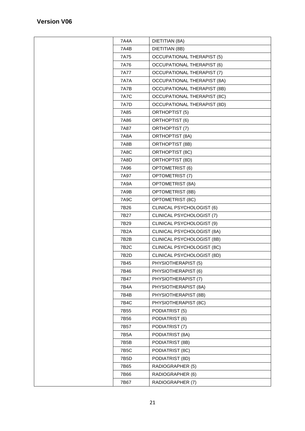| 7A4A        | DIETITIAN (8A)                     |  |  |
|-------------|------------------------------------|--|--|
| 7A4B        | DIETITIAN (8B)                     |  |  |
| 7A75        | <b>OCCUPATIONAL THERAPIST (5)</b>  |  |  |
| 7A76        | <b>OCCUPATIONAL THERAPIST (6)</b>  |  |  |
| <b>7A77</b> | <b>OCCUPATIONAL THERAPIST (7)</b>  |  |  |
| <b>7A7A</b> | <b>OCCUPATIONAL THERAPIST (8A)</b> |  |  |
| 7A7B        | <b>OCCUPATIONAL THERAPIST (8B)</b> |  |  |
| <b>7A7C</b> | <b>OCCUPATIONAL THERAPIST (8C)</b> |  |  |
| 7A7D        | <b>OCCUPATIONAL THERAPIST (8D)</b> |  |  |
| 7A85        | ORTHOPTIST (5)                     |  |  |
| 7A86        | ORTHOPTIST (6)                     |  |  |
| 7A87        | ORTHOPTIST (7)                     |  |  |
| 7A8A        | <b>ORTHOPTIST (8A)</b>             |  |  |
| 7A8B        | ORTHOPTIST (8B)                    |  |  |
| 7A8C        | ORTHOPTIST (8C)                    |  |  |
| 7A8D        | ORTHOPTIST (8D)                    |  |  |
| 7A96        | <b>OPTOMETRIST (6)</b>             |  |  |
| 7A97        | OPTOMETRIST (7)                    |  |  |
| <b>7A9A</b> | <b>OPTOMETRIST (8A)</b>            |  |  |
| 7A9B        | <b>OPTOMETRIST (8B)</b>            |  |  |
| 7A9C        | OPTOMETRIST (8C)                   |  |  |
| 7B26        | CLINICAL PSYCHOLOGIST (6)          |  |  |
| 7B27        | CLINICAL PSYCHOLOGIST (7)          |  |  |
| 7B29        | CLINICAL PSYCHOLOGIST (9)          |  |  |
| 7B2A        | CLINICAL PSYCHOLOGIST (8A)         |  |  |
| 7B2B        | CLINICAL PSYCHOLOGIST (8B)         |  |  |
| 7B2C        | CLINICAL PSYCHOLOGIST (8C)         |  |  |
| 7B2D        | CLINICAL PSYCHOLOGIST (8D)         |  |  |
| 7B45        | PHYSIOTHERAPIST (5)                |  |  |
| 7B46        | PHYSIOTHERAPIST (6)                |  |  |
| 7B47        | PHYSIOTHERAPIST (7)                |  |  |
| 7B4A        | PHYSIOTHERAPIST (8A)               |  |  |
| 7B4B        | PHYSIOTHERAPIST (8B)               |  |  |
| 7B4C        | PHYSIOTHERAPIST (8C)               |  |  |
| 7B55        | PODIATRIST (5)                     |  |  |
| 7B56        | PODIATRIST (6)                     |  |  |
| 7B57        | PODIATRIST (7)                     |  |  |
| 7B5A        | PODIATRIST (8A)                    |  |  |
| 7B5B        | PODIATRIST (8B)                    |  |  |
| 7B5C        | PODIATRIST (8C)                    |  |  |
| 7B5D        | PODIATRIST (8D)                    |  |  |
| 7B65        | RADIOGRAPHER (5)                   |  |  |
| 7B66        | RADIOGRAPHER (6)                   |  |  |
| 7B67        | RADIOGRAPHER (7)                   |  |  |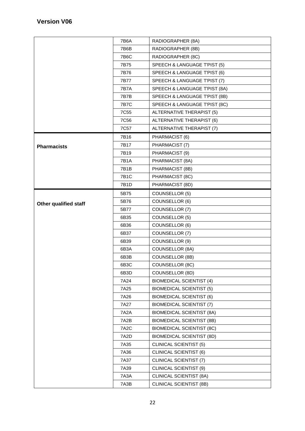|                       | 7B6A              | RADIOGRAPHER (8A)                |
|-----------------------|-------------------|----------------------------------|
|                       | 7B6B              | RADIOGRAPHER (8B)                |
|                       | 7B6C              | RADIOGRAPHER (8C)                |
|                       | 7B75              | SPEECH & LANGUAGE T'PIST (5)     |
|                       | 7B76              | SPEECH & LANGUAGE T'PIST (6)     |
|                       | 7B77              | SPEECH & LANGUAGE T'PIST (7)     |
|                       | <b>7B7A</b>       | SPEECH & LANGUAGE T'PIST (8A)    |
|                       | 7B7B              | SPEECH & LANGUAGE T'PIST (8B)    |
|                       | <b>7B7C</b>       | SPEECH & LANGUAGE T'PIST (8C)    |
|                       | 7C55              | ALTERNATIVE THERAPIST (5)        |
|                       | 7C <sub>56</sub>  | ALTERNATIVE THERAPIST (6)        |
|                       | 7C57              | ALTERNATIVE THERAPIST (7)        |
|                       | 7B16              | PHARMACIST (6)                   |
| <b>Pharmacists</b>    | 7B17              | PHARMACIST (7)                   |
|                       | 7B19              | PHARMACIST (9)                   |
|                       | <b>7B1A</b>       | PHARMACIST (8A)                  |
|                       | 7B1B              | PHARMACIST (8B)                  |
|                       | 7B1C              | PHARMACIST (8C)                  |
|                       | 7B1D              | PHARMACIST (8D)                  |
|                       | 5B75              | COUNSELLOR (5)                   |
| Other qualified staff | 5B76              | COUNSELLOR (6)                   |
|                       | 5B77              | COUNSELLOR (7)                   |
|                       | 6B35              | COUNSELLOR (5)                   |
|                       | 6B36              | COUNSELLOR (6)                   |
|                       | 6B37              | COUNSELLOR (7)                   |
|                       | 6B39              | COUNSELLOR (9)                   |
|                       | 6B3A              | <b>COUNSELLOR (8A)</b>           |
|                       | 6B3B              | COUNSELLOR (8B)                  |
|                       | 6B3C              | COUNSELLOR (8C)                  |
|                       | 6B3D              | COUNSELLOR (8D)                  |
|                       | 7A24              | <b>BIOMEDICAL SCIENTIST (4)</b>  |
|                       | 7A25              | <b>BIOMEDICAL SCIENTIST (5)</b>  |
|                       | 7A26              | <b>BIOMEDICAL SCIENTIST (6)</b>  |
|                       | 7A27              | <b>BIOMEDICAL SCIENTIST (7)</b>  |
|                       | 7A2A              | <b>BIOMEDICAL SCIENTIST (8A)</b> |
|                       | 7A2B              | <b>BIOMEDICAL SCIENTIST (8B)</b> |
|                       | 7A <sub>2</sub> C | <b>BIOMEDICAL SCIENTIST (8C)</b> |
|                       | 7A2D              | <b>BIOMEDICAL SCIENTIST (8D)</b> |
|                       | 7A35              | <b>CLINICAL SCIENTIST (5)</b>    |
|                       | 7A36              | <b>CLINICAL SCIENTIST (6)</b>    |
|                       | 7A37              | <b>CLINICAL SCIENTIST (7)</b>    |
|                       | 7A39              | <b>CLINICAL SCIENTIST (9)</b>    |
|                       | 7A3A              | <b>CLINICAL SCIENTIST (8A)</b>   |
|                       | 7A3B              | <b>CLINICAL SCIENTIST (8B)</b>   |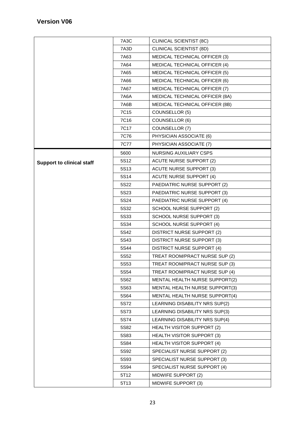|                                  | 7A3C             | <b>CLINICAL SCIENTIST (8C)</b>    |
|----------------------------------|------------------|-----------------------------------|
|                                  | 7A3D             | <b>CLINICAL SCIENTIST (8D)</b>    |
|                                  | 7A63             | MEDICAL TECHNICAL OFFICER (3)     |
|                                  | 7A64             | MEDICAL TECHNICAL OFFICER (4)     |
|                                  | 7A65             | MEDICAL TECHNICAL OFFICER (5)     |
|                                  | 7A66             | MEDICAL TECHNICAL OFFICER (6)     |
|                                  | 7A67             | MEDICAL TECHNICAL OFFICER (7)     |
|                                  | 7A6A             | MEDICAL TECHNICAL OFFICER (8A)    |
|                                  | 7A6B             | MEDICAL TECHNICAL OFFICER (8B)    |
|                                  | 7C15             | COUNSELLOR (5)                    |
|                                  | 7C16             | COUNSELLOR (6)                    |
|                                  | 7C17             | COUNSELLOR (7)                    |
|                                  | 7C76             | PHYSICIAN ASSOCIATE (6)           |
|                                  | 7C77             | PHYSICIAN ASSOCIATE (7)           |
|                                  | 5600             | <b>NURSING AUXILIARY CSPS</b>     |
| <b>Support to clinical staff</b> | 5S12             | <b>ACUTE NURSE SUPPORT (2)</b>    |
|                                  | 5S13             | <b>ACUTE NURSE SUPPORT (3)</b>    |
|                                  | 5S14             | <b>ACUTE NURSE SUPPORT (4)</b>    |
|                                  | 5S22             | PAEDIATRIC NURSE SUPPORT (2)      |
|                                  | 5S23             | PAEDIATRIC NURSE SUPPORT (3)      |
|                                  | 5S24             | PAEDIATRIC NURSE SUPPORT (4)      |
|                                  | 5S32             | SCHOOL NURSE SUPPORT (2)          |
|                                  | 5S33             | SCHOOL NURSE SUPPORT (3)          |
|                                  | 5S34             | SCHOOL NURSE SUPPORT (4)          |
|                                  | 5S42             | DISTRICT NURSE SUPPORT (2)        |
|                                  | 5S43             | <b>DISTRICT NURSE SUPPORT (3)</b> |
|                                  | 5S44             | DISTRICT NURSE SUPPORT (4)        |
|                                  | 5S52             | TREAT ROOM/PRACT NURSE SUP (2)    |
|                                  | 5S <sub>53</sub> | TREAT ROOM/PRACT NURSE SUP (3)    |
|                                  | 5S54             | TREAT ROOM/PRACT NURSE SUP (4)    |
|                                  | 5S62             | MENTAL HEALTH NURSE SUPPORT(2)    |
|                                  | 5S63             | MENTAL HEALTH NURSE SUPPORT(3)    |
|                                  | 5S64             | MENTAL HEALTH NURSE SUPPORT(4)    |
|                                  | 5S72             | LEARNING DISABILITY NRS SUP(2)    |
|                                  | 5S73             | LEARNING DISABILITY NRS SUP(3)    |
|                                  | 5S74             | LEARNING DISABILITY NRS SUP(4)    |
|                                  | 5S82             | <b>HEALTH VISITOR SUPPORT (2)</b> |
|                                  | 5S83             | <b>HEALTH VISITOR SUPPORT (3)</b> |
|                                  | 5S84             | <b>HEALTH VISITOR SUPPORT (4)</b> |
|                                  | 5S92             | SPECIALIST NURSE SUPPORT (2)      |
|                                  | 5S93             | SPECIALIST NURSE SUPPORT (3)      |
|                                  | 5S94             | SPECIALIST NURSE SUPPORT (4)      |
|                                  | 5T12             | MIDWIFE SUPPORT (2)               |
|                                  | 5T13             | MIDWIFE SUPPORT (3)               |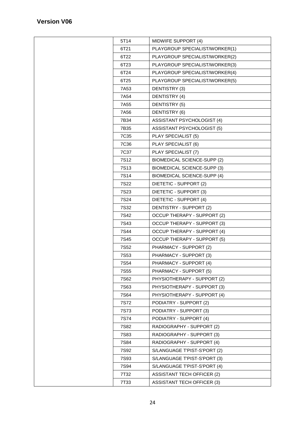| 5T14             | MIDWIFE SUPPORT (4)                |
|------------------|------------------------------------|
| 6T21             | PLAYGROUP SPECIALIST/WORKER(1)     |
| 6T22             | PLAYGROUP SPECIALIST/WORKER(2)     |
| 6T23             | PLAYGROUP SPECIALIST/WORKER(3)     |
| 6T24             | PLAYGROUP SPECIALIST/WORKER(4)     |
| 6T25             | PLAYGROUP SPECIALIST/WORKER(5)     |
| 7A53             | DENTISTRY (3)                      |
| 7A54             | DENTISTRY (4)                      |
| 7A55             | DENTISTRY (5)                      |
| 7A56             | DENTISTRY (6)                      |
| 7B34             | ASSISTANT PSYCHOLOGIST (4)         |
| 7B35             | <b>ASSISTANT PSYCHOLOGIST (5)</b>  |
| 7C35             | PLAY SPECIALIST (5)                |
| 7C36             | PLAY SPECIALIST (6)                |
| 7C37             | PLAY SPECIALIST (7)                |
| 7S <sub>12</sub> | <b>BIOMEDICAL SCIENCE-SUPP (2)</b> |
| <b>7S13</b>      | <b>BIOMEDICAL SCIENCE-SUPP (3)</b> |
| 7S14             | <b>BIOMEDICAL SCIENCE-SUPP (4)</b> |
| <b>7S22</b>      | DIETETIC - SUPPORT (2)             |
| <b>7S23</b>      | DIETETIC - SUPPORT (3)             |
| <b>7S24</b>      | DIETETIC - SUPPORT (4)             |
| 7S32             | DENTISTRY - SUPPORT (2)            |
| 7S42             | <b>OCCUP THERAPY - SUPPORT (2)</b> |
| 7S43             | <b>OCCUP THERAPY - SUPPORT (3)</b> |
| 7S44             | <b>OCCUP THERAPY - SUPPORT (4)</b> |
| 7S45             | <b>OCCUP THERAPY - SUPPORT (5)</b> |
| 7S <sub>52</sub> | PHARMACY - SUPPORT (2)             |
| <b>7S53</b>      | PHARMACY - SUPPORT (3)             |
| 7S54             | PHARMACY - SUPPORT (4)             |
| 7S55             | PHARMACY - SUPPORT (5)             |
| 7S62             | PHYSIOTHERAPY - SUPPORT (2)        |
| 7S63             | PHYSIOTHERAPY - SUPPORT (3)        |
| 7S64             | PHYSIOTHERAPY - SUPPORT (4)        |
| 7S72             | PODIATRY - SUPPORT (2)             |
| <b>7S73</b>      | PODIATRY - SUPPORT (3)             |
| 7S74             | PODIATRY - SUPPORT (4)             |
| 7S82             | RADIOGRAPHY - SUPPORT (2)          |
| <b>7S83</b>      | RADIOGRAPHY - SUPPORT (3)          |
| 7S84             | RADIOGRAPHY - SUPPORT (4)          |
| 7S92             | S/LANGUAGE T'PIST-S'PORT (2)       |
| <b>7S93</b>      | S/LANGUAGE T'PIST-S'PORT (3)       |
| 7S94             | S/LANGUAGE T'PIST-S'PORT (4)       |
| 7T32             | <b>ASSISTANT TECH OFFICER (2)</b>  |
| 7T33             | <b>ASSISTANT TECH OFFICER (3)</b>  |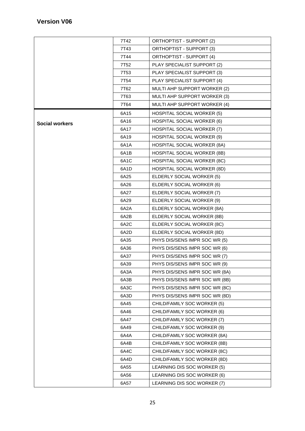|                       | 7T42              | ORTHOPTIST - SUPPORT (2)           |
|-----------------------|-------------------|------------------------------------|
|                       | 7T43              | ORTHOPTIST - SUPPORT (3)           |
|                       | 7T44              | ORTHOPTIST - SUPPORT (4)           |
|                       | 7T <sub>52</sub>  | PLAY SPECIALIST SUPPORT (2)        |
|                       | 7T53              | PLAY SPECIALIST SUPPORT (3)        |
|                       | 7T54              | PLAY SPECIALIST SUPPORT (4)        |
|                       | 7T62              | MULTI AHP SUPPORT WORKER (2)       |
|                       | 7T63              | MULTI AHP SUPPORT WORKER (3)       |
|                       | 7T64              | MULTI AHP SUPPORT WORKER (4)       |
|                       | 6A15              | <b>HOSPITAL SOCIAL WORKER (5)</b>  |
| <b>Social workers</b> | 6A16              | <b>HOSPITAL SOCIAL WORKER (6)</b>  |
|                       | 6A17              | HOSPITAL SOCIAL WORKER (7)         |
|                       | 6A19              | <b>HOSPITAL SOCIAL WORKER (9)</b>  |
|                       | 6A1A              | <b>HOSPITAL SOCIAL WORKER (8A)</b> |
|                       | 6A1B              | HOSPITAL SOCIAL WORKER (8B)        |
|                       | 6A <sub>1</sub> C | HOSPITAL SOCIAL WORKER (8C)        |
|                       | 6A1D              | HOSPITAL SOCIAL WORKER (8D)        |
|                       | 6A25              | ELDERLY SOCIAL WORKER (5)          |
|                       | 6A26              | ELDERLY SOCIAL WORKER (6)          |
|                       | 6A27              | ELDERLY SOCIAL WORKER (7)          |
|                       | 6A29              | ELDERLY SOCIAL WORKER (9)          |
|                       | 6A2A              | ELDERLY SOCIAL WORKER (8A)         |
|                       | 6A2B              | ELDERLY SOCIAL WORKER (8B)         |
|                       | 6A <sub>2</sub> C | ELDERLY SOCIAL WORKER (8C)         |
|                       | 6A2D              | ELDERLY SOCIAL WORKER (8D)         |
|                       | 6A35              | PHYS DIS/SENS IMPR SOC WR (5)      |
|                       | 6A36              | PHYS DIS/SENS IMPR SOC WR (6)      |
|                       | 6A37              | PHYS DIS/SENS IMPR SOC WR (7)      |
|                       | 6A39              | PHYS DIS/SENS IMPR SOC WR (9)      |
|                       | 6A3A              | PHYS DIS/SENS IMPR SOC WR (8A)     |
|                       | 6A3B              | PHYS DIS/SENS IMPR SOC WR (8B)     |
|                       | 6A3C              | PHYS DIS/SENS IMPR SOC WR (8C)     |
|                       | 6A3D              | PHYS DIS/SENS IMPR SOC WR (8D)     |
|                       | 6A45              | CHILD/FAMILY SOC WORKER (5)        |
|                       | 6A46              | CHILD/FAMILY SOC WORKER (6)        |
|                       | 6A47              | CHILD/FAMILY SOC WORKER (7)        |
|                       | 6A49              | CHILD/FAMILY SOC WORKER (9)        |
|                       | 6A4A              | CHILD/FAMILY SOC WORKER (8A)       |
|                       | 6A4B              | CHILD/FAMILY SOC WORKER (8B)       |
|                       | 6A4C              | CHILD/FAMILY SOC WORKER (8C)       |
|                       | 6A4D              | CHILD/FAMILY SOC WORKER (8D)       |
|                       | 6A55              | LEARNING DIS SOC WORKER (5)        |
|                       | 6A56              | LEARNING DIS SOC WORKER (6)        |
|                       | 6A57              | LEARNING DIS SOC WORKER (7)        |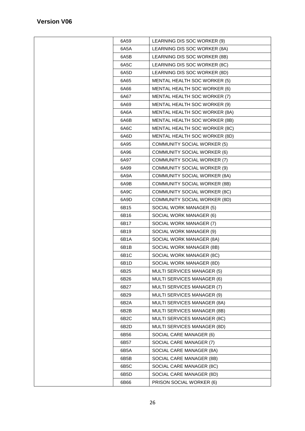| 6A59              | LEARNING DIS SOC WORKER (9)         |
|-------------------|-------------------------------------|
| 6A5A              | LEARNING DIS SOC WORKER (8A)        |
| 6A5B              | LEARNING DIS SOC WORKER (8B)        |
| 6A5C              | LEARNING DIS SOC WORKER (8C)        |
| 6A5D              | LEARNING DIS SOC WORKER (8D)        |
| 6A65              | <b>MENTAL HEALTH SOC WORKER (5)</b> |
| 6A66              | MENTAL HEALTH SOC WORKER (6)        |
| 6A67              | MENTAL HEALTH SOC WORKER (7)        |
| 6A69              | MENTAL HEALTH SOC WORKER (9)        |
| 6A6A              | MENTAL HEALTH SOC WORKER (8A)       |
| 6A6B              | MENTAL HEALTH SOC WORKER (8B)       |
| 6A6C              | MENTAL HEALTH SOC WORKER (8C)       |
| 6A6D              | MENTAL HEALTH SOC WORKER (8D)       |
| 6A95              | <b>COMMUNITY SOCIAL WORKER (5)</b>  |
| 6A96              | <b>COMMUNITY SOCIAL WORKER (6)</b>  |
| 6A97              | <b>COMMUNITY SOCIAL WORKER (7)</b>  |
| 6A99              | <b>COMMUNITY SOCIAL WORKER (9)</b>  |
| 6A9A              | <b>COMMUNITY SOCIAL WORKER (8A)</b> |
| 6A9B              | <b>COMMUNITY SOCIAL WORKER (8B)</b> |
| 6A9C              | COMMUNITY SOCIAL WORKER (8C)        |
| 6A9D              | COMMUNITY SOCIAL WORKER (8D)        |
| 6B15              | SOCIAL WORK MANAGER (5)             |
| 6B16              | SOCIAL WORK MANAGER (6)             |
| 6B17              | SOCIAL WORK MANAGER (7)             |
| 6B19              | SOCIAL WORK MANAGER (9)             |
| 6B1A              | SOCIAL WORK MANAGER (8A)            |
| 6B1B              | SOCIAL WORK MANAGER (8B)            |
| 6B1C              | SOCIAL WORK MANAGER (8C)            |
| 6B1D              | SOCIAL WORK MANAGER (8D)            |
| 6B25              | MULTI SERVICES MANAGER (5)          |
| 6B26              | MULTI SERVICES MANAGER (6)          |
| 6B27              | MULTI SERVICES MANAGER (7)          |
| 6B29              | MULTI SERVICES MANAGER (9)          |
| 6B2A              | MULTI SERVICES MANAGER (8A)         |
| 6B2B              | MULTI SERVICES MANAGER (8B)         |
| 6B <sub>2</sub> C | MULTI SERVICES MANAGER (8C)         |
| 6B <sub>2</sub> D | MULTI SERVICES MANAGER (8D)         |
| 6B56              | SOCIAL CARE MANAGER (6)             |
| 6B57              | SOCIAL CARE MANAGER (7)             |
| 6B5A              | SOCIAL CARE MANAGER (8A)            |
| 6B5B              | SOCIAL CARE MANAGER (8B)            |
| 6B5C              | SOCIAL CARE MANAGER (8C)            |
| 6B5D              | SOCIAL CARE MANAGER (8D)            |
| 6B66              | PRISON SOCIAL WORKER (6)            |
|                   |                                     |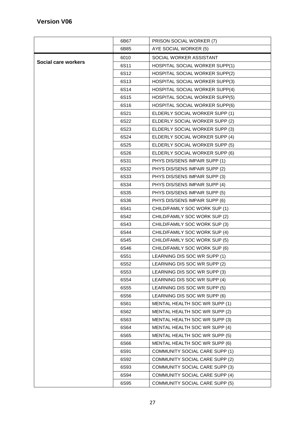|                     | 6B67             | PRISON SOCIAL WORKER (7)              |
|---------------------|------------------|---------------------------------------|
|                     | 6B85             | AYE SOCIAL WORKER (5)                 |
|                     | 6010             | SOCIAL WORKER ASSISTANT               |
| Social care workers | 6S11             | HOSPITAL SOCIAL WORKER SUPP(1)        |
|                     | 6S12             | HOSPITAL SOCIAL WORKER SUPP(2)        |
|                     | 6S13             | HOSPITAL SOCIAL WORKER SUPP(3)        |
|                     | 6S14             | HOSPITAL SOCIAL WORKER SUPP(4)        |
|                     | 6S15             | HOSPITAL SOCIAL WORKER SUPP(5)        |
|                     | 6S16             | <b>HOSPITAL SOCIAL WORKER SUPP(6)</b> |
|                     | 6S21             | ELDERLY SOCIAL WORKER SUPP (1)        |
|                     | 6S22             | ELDERLY SOCIAL WORKER SUPP (2)        |
|                     | 6S <sub>23</sub> | ELDERLY SOCIAL WORKER SUPP (3)        |
|                     | 6S24             | ELDERLY SOCIAL WORKER SUPP (4)        |
|                     | 6S <sub>25</sub> | ELDERLY SOCIAL WORKER SUPP (5)        |
|                     | 6S26             | ELDERLY SOCIAL WORKER SUPP (6)        |
|                     | 6S31             | PHYS DIS/SENS IMPAIR SUPP (1)         |
|                     | 6S32             | PHYS DIS/SENS IMPAIR SUPP (2)         |
|                     | 6S33             | PHYS DIS/SENS IMPAIR SUPP (3)         |
|                     | 6S34             | PHYS DIS/SENS IMPAIR SUPP (4)         |
|                     | 6S35             | PHYS DIS/SENS IMPAIR SUPP (5)         |
|                     | 6S36             | PHYS DIS/SENS IMPAIR SUPP (6)         |
|                     | 6S41             | CHILD/FAMILY SOC WORK SUP (1)         |
|                     | 6S42             | CHILD/FAMILY SOC WORK SUP (2)         |
|                     | 6S43             | CHILD/FAMILY SOC WORK SUP (3)         |
|                     | 6S44             | CHILD/FAMILY SOC WORK SUP (4)         |
|                     | 6S45             | CHILD/FAMILY SOC WORK SUP (5)         |
|                     | 6S46             | CHILD/FAMILY SOC WORK SUP (6)         |
|                     | 6S51             | LEARNING DIS SOC WR SUPP (1)          |
|                     | 6S52             | LEARNING DIS SOC WR SUPP (2)          |
|                     | 6S53             | LEARNING DIS SOC WR SUPP (3)          |
|                     | 6S54             | LEARNING DIS SOC WR SUPP (4)          |
|                     | 6S55             | LEARNING DIS SOC WR SUPP (5)          |
|                     | 6S56             | LEARNING DIS SOC WR SUPP (6)          |
|                     | 6S61             | MENTAL HEALTH SOC WR SUPP (1)         |
|                     | 6S62             | MENTAL HEALTH SOC WR SUPP (2)         |
|                     | 6S63             | MENTAL HEALTH SOC WR SUPP (3)         |
|                     | 6S64             | MENTAL HEALTH SOC WR SUPP (4)         |
|                     | 6S65             | MENTAL HEALTH SOC WR SUPP (5)         |
|                     | 6S66             | MENTAL HEALTH SOC WR SUPP (6)         |
|                     | 6S91             | <b>COMMUNITY SOCIAL CARE SUPP (1)</b> |
|                     | 6S92             | COMMUNITY SOCIAL CARE SUPP (2)        |
|                     | 6S93             | COMMUNITY SOCIAL CARE SUPP (3)        |
|                     | 6S94             | COMMUNITY SOCIAL CARE SUPP (4)        |
|                     | 6S95             | <b>COMMUNITY SOCIAL CARE SUPP (5)</b> |